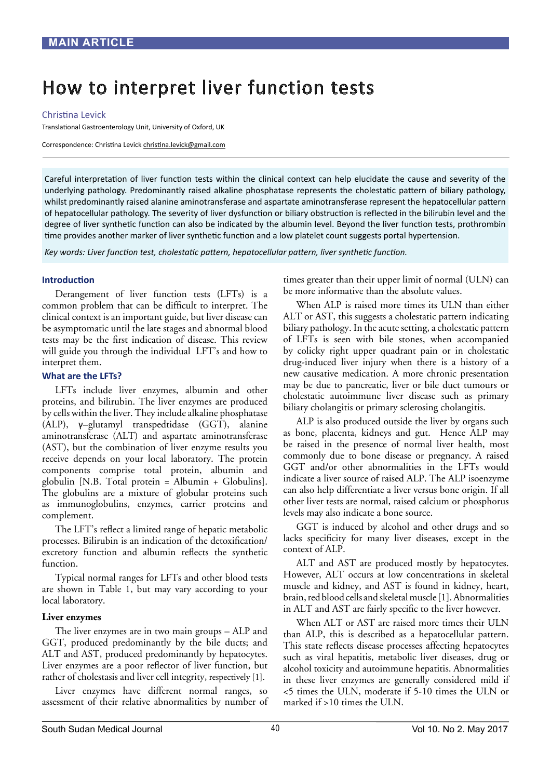# How to interpret liver function tests

#### Christina Levick

Translational Gastroenterology Unit, University of Oxford, UK

Correspondence: Christina Levick christina.levick@gmail.com

Careful interpretation of liver function tests within the clinical context can help elucidate the cause and severity of the underlying pathology. Predominantly raised alkaline phosphatase represents the cholestatic pattern of biliary pathology, whilst predominantly raised alanine aminotransferase and aspartate aminotransferase represent the hepatocellular pattern of hepatocellular pathology. The severity of liver dysfunction or biliary obstruction is reflected in the bilirubin level and the degree of liver synthetic function can also be indicated by the albumin level. Beyond the liver function tests, prothrombin time provides another marker of liver synthetic function and a low platelet count suggests portal hypertension.

*Key words: Liver function test, cholestatic pattern, hepatocellular pattern, liver synthetic function.*

#### **Introduction**

Derangement of liver function tests (LFTs) is a common problem that can be difficult to interpret. The clinical context is an important guide, but liver disease can be asymptomatic until the late stages and abnormal blood tests may be the first indication of disease. This review will guide you through the individual LFT's and how to interpret them.

#### **What are the LFTs?**

LFTs include liver enzymes, albumin and other proteins, and bilirubin. The liver enzymes are produced by cells within the liver. They include alkaline phosphatase (ALP), γ–glutamyl transpedtidase (GGT), alanine aminotransferase (ALT) and aspartate aminotransferase (AST), but the combination of liver enzyme results you receive depends on your local laboratory. The protein components comprise total protein, albumin and globulin [N.B. Total protein = Albumin + Globulins]. The globulins are a mixture of globular proteins such as immunoglobulins, enzymes, carrier proteins and complement.

The LFT's reflect a limited range of hepatic metabolic processes. Bilirubin is an indication of the detoxification/ excretory function and albumin reflects the synthetic function.

Typical normal ranges for LFTs and other blood tests are shown in Table 1, but may vary according to your local laboratory.

#### **Liver enzymes**

The liver enzymes are in two main groups – ALP and GGT, produced predominantly by the bile ducts; and ALT and AST, produced predominantly by hepatocytes. Liver enzymes are a poor reflector of liver function, but rather of cholestasis and liver cell integrity, respectively [1].

Liver enzymes have different normal ranges, so assessment of their relative abnormalities by number of times greater than their upper limit of normal (ULN) can be more informative than the absolute values.

When ALP is raised more times its ULN than either ALT or AST, this suggests a cholestatic pattern indicating biliary pathology. In the acute setting, a cholestatic pattern of LFTs is seen with bile stones, when accompanied by colicky right upper quadrant pain or in cholestatic drug-induced liver injury when there is a history of a new causative medication. A more chronic presentation may be due to pancreatic, liver or bile duct tumours or cholestatic autoimmune liver disease such as primary biliary cholangitis or primary sclerosing cholangitis.

ALP is also produced outside the liver by organs such as bone, placenta, kidneys and gut. Hence ALP may be raised in the presence of normal liver health, most commonly due to bone disease or pregnancy. A raised GGT and/or other abnormalities in the LFTs would indicate a liver source of raised ALP. The ALP isoenzyme can also help differentiate a liver versus bone origin. If all other liver tests are normal, raised calcium or phosphorus levels may also indicate a bone source.

GGT is induced by alcohol and other drugs and so lacks specificity for many liver diseases, except in the context of ALP.

ALT and AST are produced mostly by hepatocytes. However, ALT occurs at low concentrations in skeletal muscle and kidney, and AST is found in kidney, heart, brain, red blood cells and skeletal muscle [1]. Abnormalities in ALT and AST are fairly specific to the liver however.

When ALT or AST are raised more times their ULN than ALP, this is described as a hepatocellular pattern. This state reflects disease processes affecting hepatocytes such as viral hepatitis, metabolic liver diseases, drug or alcohol toxicity and autoimmune hepatitis. Abnormalities in these liver enzymes are generally considered mild if <5 times the ULN, moderate if 5-10 times the ULN or marked if >10 times the ULN.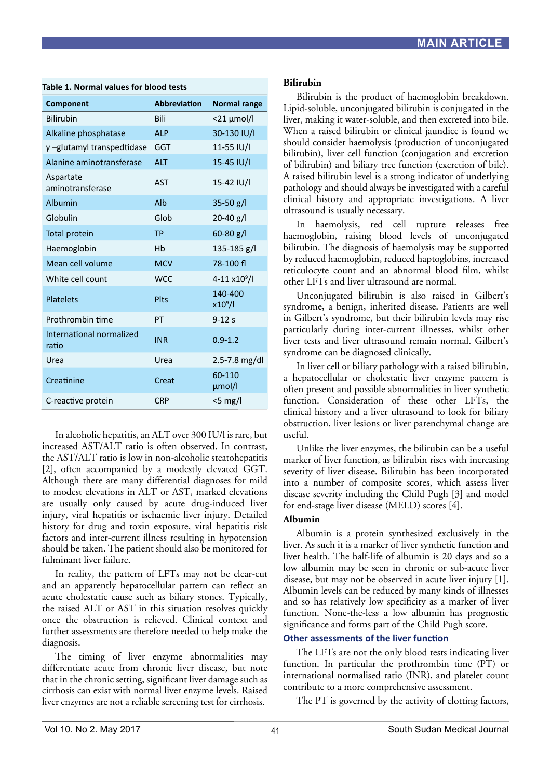| Component                         | <b>Abbreviation</b> | <b>Normal range</b>      |
|-----------------------------------|---------------------|--------------------------|
| <b>Bilirubin</b>                  | Bili                | $<$ 21 $\mu$ mol/l       |
| Alkaline phosphatase              | <b>ALP</b>          | 30-130 IU/I              |
| γ-glutamyl transpedtidase         | <b>GGT</b>          | 11-55 IU/I               |
| Alanine aminotransferase          | <b>ALT</b>          | 15-45 IU/I               |
| Aspartate<br>aminotransferase     | <b>AST</b>          | 15-42 IU/I               |
| <b>Albumin</b>                    | Alb                 | $35-50$ g/l              |
| Globulin                          | Glob                | $20-40$ g/l              |
| <b>Total protein</b>              | <b>TP</b>           | $60 - 80$ g/l            |
| Haemoglobin                       | Hb                  | $135 - 185$ g/l          |
| Mean cell volume                  | <b>MCV</b>          | 78-100 fl                |
| White cell count                  | WCC.                | 4-11 x10 <sup>9</sup> /l |
| <b>Platelets</b>                  | Plts                | 140-400<br>$x10^9$ /l    |
| Prothrombin time                  | PT                  | $9 - 12s$                |
| International normalized<br>ratio | <b>INR</b>          | $0.9 - 1.2$              |
| Urea                              | Urea                | 2.5-7.8 mg/dl            |
| Creatinine                        | Creat               | 60-110<br>µmol/l         |
| C-reactive protein                | <b>CRP</b>          | $<$ 5 mg/l               |

#### **Table 1. Normal values for blood tests**

In alcoholic hepatitis, an ALT over 300 IU/l is rare, but increased AST/ALT ratio is often observed. In contrast, the AST/ALT ratio is low in non-alcoholic steatohepatitis [2], often accompanied by a modestly elevated GGT. Although there are many differential diagnoses for mild to modest elevations in ALT or AST, marked elevations are usually only caused by acute drug-induced liver injury, viral hepatitis or ischaemic liver injury. Detailed history for drug and toxin exposure, viral hepatitis risk factors and inter-current illness resulting in hypotension should be taken. The patient should also be monitored for fulminant liver failure.

In reality, the pattern of LFTs may not be clear-cut and an apparently hepatocellular pattern can reflect an acute cholestatic cause such as biliary stones. Typically, the raised ALT or AST in this situation resolves quickly once the obstruction is relieved. Clinical context and further assessments are therefore needed to help make the diagnosis.

The timing of liver enzyme abnormalities may differentiate acute from chronic liver disease, but note that in the chronic setting, significant liver damage such as cirrhosis can exist with normal liver enzyme levels. Raised liver enzymes are not a reliable screening test for cirrhosis.

### **Bilirubin**

Bilirubin is the product of haemoglobin breakdown. Lipid-soluble, unconjugated bilirubin is conjugated in the liver, making it water-soluble, and then excreted into bile. When a raised bilirubin or clinical jaundice is found we should consider haemolysis (production of unconjugated bilirubin), liver cell function (conjugation and excretion of bilirubin) and biliary tree function (excretion of bile). A raised bilirubin level is a strong indicator of underlying pathology and should always be investigated with a careful clinical history and appropriate investigations. A liver ultrasound is usually necessary.

In haemolysis, red cell rupture releases free haemoglobin, raising blood levels of unconjugated bilirubin. The diagnosis of haemolysis may be supported by reduced haemoglobin, reduced haptoglobins, increased reticulocyte count and an abnormal blood film, whilst other LFTs and liver ultrasound are normal.

Unconjugated bilirubin is also raised in Gilbert's syndrome, a benign, inherited disease. Patients are well in Gilbert's syndrome, but their bilirubin levels may rise particularly during inter-current illnesses, whilst other liver tests and liver ultrasound remain normal. Gilbert's syndrome can be diagnosed clinically.

In liver cell or biliary pathology with a raised bilirubin, a hepatocellular or cholestatic liver enzyme pattern is often present and possible abnormalities in liver synthetic function. Consideration of these other LFTs, the clinical history and a liver ultrasound to look for biliary obstruction, liver lesions or liver parenchymal change are useful.

Unlike the liver enzymes, the bilirubin can be a useful marker of liver function, as bilirubin rises with increasing severity of liver disease. Bilirubin has been incorporated into a number of composite scores, which assess liver disease severity including the Child Pugh [3] and model for end-stage liver disease (MELD) scores [4].

# **Albumin**

Albumin is a protein synthesized exclusively in the liver. As such it is a marker of liver synthetic function and liver health. The half-life of albumin is 20 days and so a low albumin may be seen in chronic or sub-acute liver disease, but may not be observed in acute liver injury [1]. Albumin levels can be reduced by many kinds of illnesses and so has relatively low specificity as a marker of liver function. None-the-less a low albumin has prognostic significance and forms part of the Child Pugh score.

# **Other assessments of the liver function**

The LFTs are not the only blood tests indicating liver function. In particular the prothrombin time (PT) or international normalised ratio (INR), and platelet count contribute to a more comprehensive assessment.

The PT is governed by the activity of clotting factors,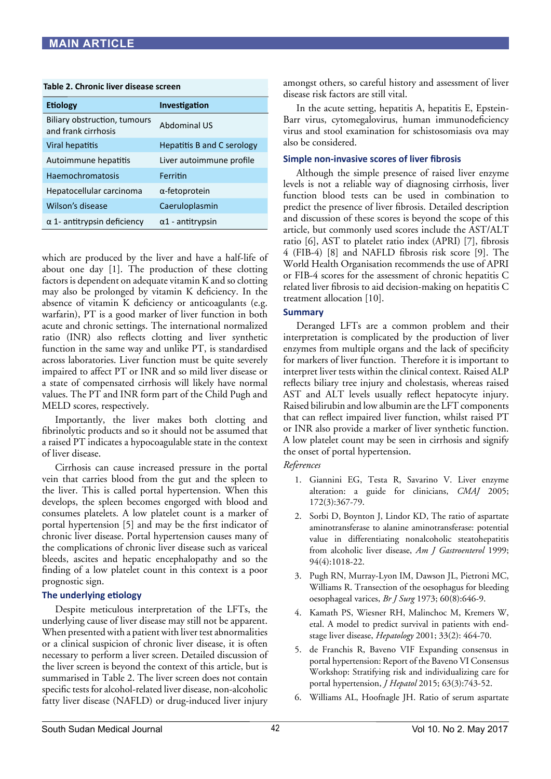### **Table 2. Chronic liver disease screen**

| <b>Etiology</b>                                     | Investigation              |
|-----------------------------------------------------|----------------------------|
| Biliary obstruction, tumours<br>and frank cirrhosis | <b>Abdominal US</b>        |
| Viral hepatitis                                     | Hepatitis B and C serology |
| Autoimmune hepatitis                                | Liver autoimmune profile   |
| <b>Haemochromatosis</b>                             | Ferritin                   |
| Hepatocellular carcinoma                            | $\alpha$ -fetoprotein      |
| Wilson's disease                                    | Caeruloplasmin             |
| $\alpha$ 1- antitrypsin deficiency                  | $\alpha$ 1 - antitrypsin   |

which are produced by the liver and have a half-life of about one day [1]. The production of these clotting factors is dependent on adequate vitamin K and so clotting may also be prolonged by vitamin K deficiency. In the absence of vitamin K deficiency or anticoagulants (e.g. warfarin), PT is a good marker of liver function in both acute and chronic settings. The international normalized ratio (INR) also reflects clotting and liver synthetic function in the same way and unlike PT, is standardised across laboratories. Liver function must be quite severely impaired to affect PT or INR and so mild liver disease or a state of compensated cirrhosis will likely have normal values. The PT and INR form part of the Child Pugh and MELD scores, respectively.

Importantly, the liver makes both clotting and fibrinolytic products and so it should not be assumed that a raised PT indicates a hypocoagulable state in the context of liver disease.

Cirrhosis can cause increased pressure in the portal vein that carries blood from the gut and the spleen to the liver. This is called portal hypertension. When this develops, the spleen becomes engorged with blood and consumes platelets. A low platelet count is a marker of portal hypertension [5] and may be the first indicator of chronic liver disease. Portal hypertension causes many of the complications of chronic liver disease such as variceal bleeds, ascites and hepatic encephalopathy and so the finding of a low platelet count in this context is a poor prognostic sign.

# **The underlying etiology**

Despite meticulous interpretation of the LFTs, the underlying cause of liver disease may still not be apparent. When presented with a patient with liver test abnormalities or a clinical suspicion of chronic liver disease, it is often necessary to perform a liver screen. Detailed discussion of the liver screen is beyond the context of this article, but is summarised in Table 2. The liver screen does not contain specific tests for alcohol-related liver disease, non-alcoholic fatty liver disease (NAFLD) or drug-induced liver injury

amongst others, so careful history and assessment of liver disease risk factors are still vital.

In the acute setting, hepatitis A, hepatitis E, Epstein-Barr virus, cytomegalovirus, human immunodeficiency virus and stool examination for schistosomiasis ova may also be considered.

# **Simple non-invasive scores of liver fibrosis**

Although the simple presence of raised liver enzyme levels is not a reliable way of diagnosing cirrhosis, liver function blood tests can be used in combination to predict the presence of liver fibrosis. Detailed description and discussion of these scores is beyond the scope of this article, but commonly used scores include the AST/ALT ratio [6], AST to platelet ratio index (APRI) [7], fibrosis 4 (FIB-4) [8] and NAFLD fibrosis risk score [9]. The World Health Organisation recommends the use of APRI or FIB-4 scores for the assessment of chronic hepatitis C related liver fibrosis to aid decision-making on hepatitis C treatment allocation [10].

# **Summary**

Deranged LFTs are a common problem and their interpretation is complicated by the production of liver enzymes from multiple organs and the lack of specificity for markers of liver function. Therefore it is important to interpret liver tests within the clinical context. Raised ALP reflects biliary tree injury and cholestasis, whereas raised AST and ALT levels usually reflect hepatocyte injury. Raised bilirubin and low albumin are the LFT components that can reflect impaired liver function, whilst raised PT or INR also provide a marker of liver synthetic function. A low platelet count may be seen in cirrhosis and signify the onset of portal hypertension.

# *References*

- 1. Giannini EG, Testa R, Savarino V. Liver enzyme alteration: a guide for clinicians, *CMAJ* 2005; 172(3):367-79.
- 2. Sorbi D, Boynton J, Lindor KD, The ratio of aspartate aminotransferase to alanine aminotransferase: potential value in differentiating nonalcoholic steatohepatitis from alcoholic liver disease, *Am J Gastroenterol* 1999; 94(4):1018-22.
- 3. Pugh RN, Murray-Lyon IM, Dawson JL, Pietroni MC, Williams R. Transection of the oesophagus for bleeding oesophageal varices, *Br J Surg* 1973; 60(8):646-9.
- 4. Kamath PS, Wiesner RH, Malinchoc M, Kremers W, etal. A model to predict survival in patients with endstage liver disease, *Hepatology* 2001; 33(2): 464-70.
- 5. de Franchis R, Baveno VIF Expanding consensus in portal hypertension: Report of the Baveno VI Consensus Workshop: Stratifying risk and individualizing care for portal hypertension, *J Hepatol* 2015; 63(3):743-52.
- 6. Williams AL, Hoofnagle JH. Ratio of serum aspartate